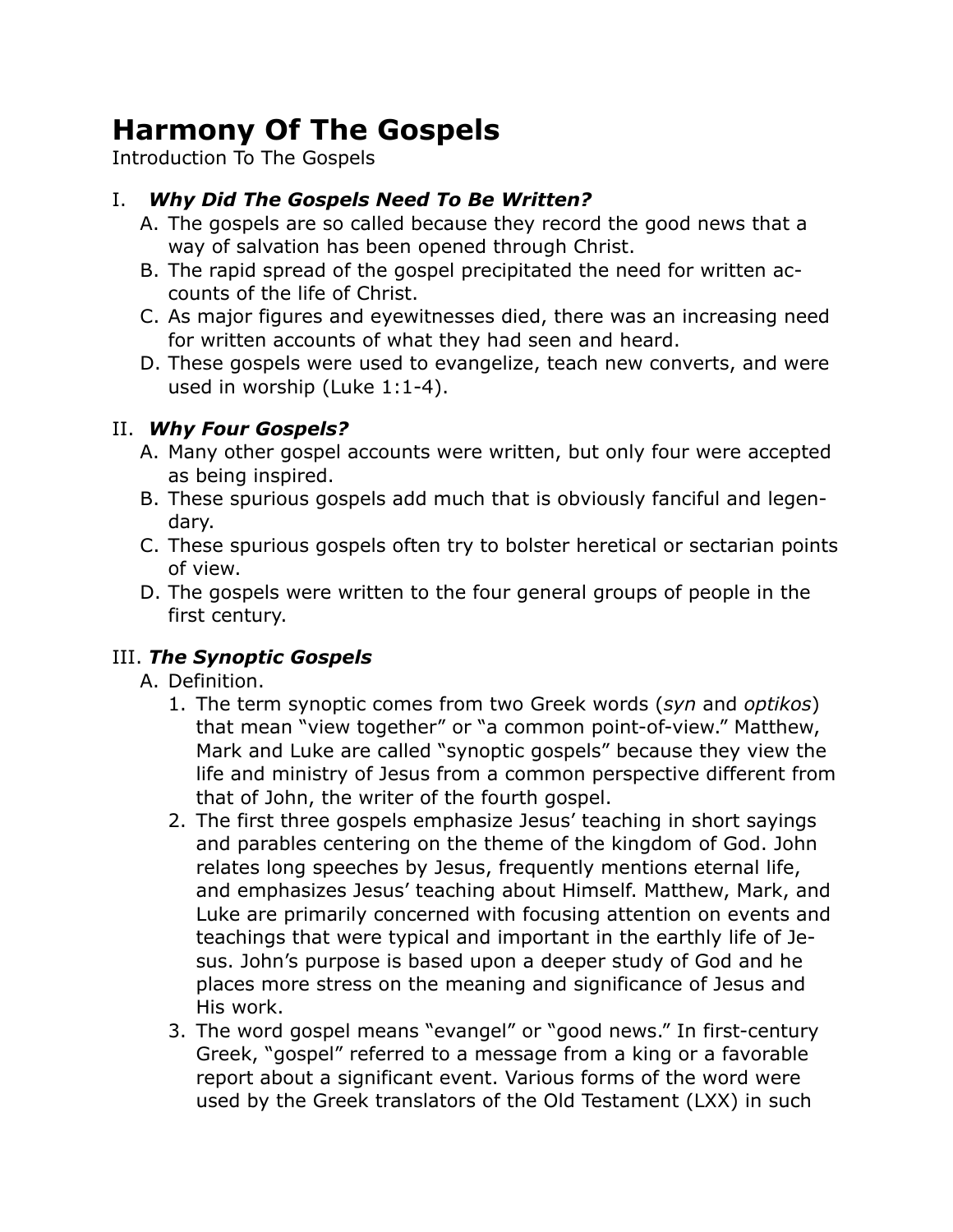# **Harmony Of The Gospels**

Introduction To The Gospels

# I. *Why Did The Gospels Need To Be Written?*

- A. The gospels are so called because they record the good news that a way of salvation has been opened through Christ.
- B. The rapid spread of the gospel precipitated the need for written accounts of the life of Christ.
- C. As major figures and eyewitnesses died, there was an increasing need for written accounts of what they had seen and heard.
- D. These gospels were used to evangelize, teach new converts, and were used in worship (Luke 1:1-4).

## II. *Why Four Gospels?*

- A. Many other gospel accounts were written, but only four were accepted as being inspired.
- B. These spurious gospels add much that is obviously fanciful and legendary.
- C. These spurious gospels often try to bolster heretical or sectarian points of view.
- D. The gospels were written to the four general groups of people in the first century.

### III. *The Synoptic Gospels*

- A. Definition.
	- 1. The term synoptic comes from two Greek words (*syn* and *optikos*) that mean "view together" or "a common point-of-view." Matthew, Mark and Luke are called "synoptic gospels" because they view the life and ministry of Jesus from a common perspective different from that of John, the writer of the fourth gospel.
	- 2. The first three gospels emphasize Jesus' teaching in short sayings and parables centering on the theme of the kingdom of God. John relates long speeches by Jesus, frequently mentions eternal life, and emphasizes Jesus' teaching about Himself. Matthew, Mark, and Luke are primarily concerned with focusing attention on events and teachings that were typical and important in the earthly life of Jesus. John's purpose is based upon a deeper study of God and he places more stress on the meaning and significance of Jesus and His work.
	- 3. The word gospel means "evangel" or "good news." In first-century Greek, "gospel" referred to a message from a king or a favorable report about a significant event. Various forms of the word were used by the Greek translators of the Old Testament (LXX) in such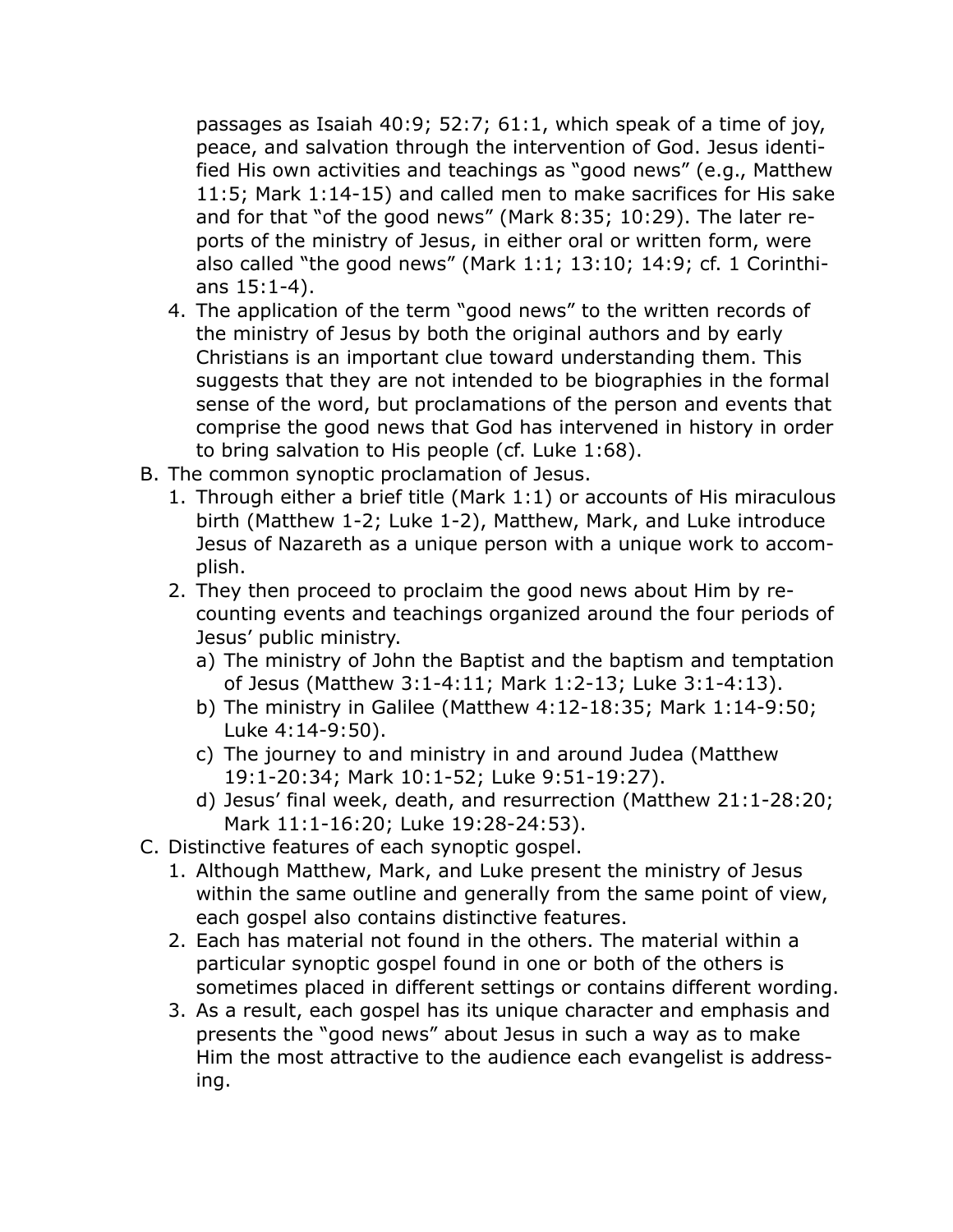passages as Isaiah 40:9; 52:7; 61:1, which speak of a time of joy, peace, and salvation through the intervention of God. Jesus identified His own activities and teachings as "good news" (e.g., Matthew 11:5; Mark 1:14-15) and called men to make sacrifices for His sake and for that "of the good news" (Mark 8:35; 10:29). The later reports of the ministry of Jesus, in either oral or written form, were also called "the good news" (Mark 1:1; 13:10; 14:9; cf. 1 Corinthians 15:1-4).

- 4. The application of the term "good news" to the written records of the ministry of Jesus by both the original authors and by early Christians is an important clue toward understanding them. This suggests that they are not intended to be biographies in the formal sense of the word, but proclamations of the person and events that comprise the good news that God has intervened in history in order to bring salvation to His people (cf. Luke 1:68).
- B. The common synoptic proclamation of Jesus.
	- 1. Through either a brief title (Mark 1:1) or accounts of His miraculous birth (Matthew 1-2; Luke 1-2), Matthew, Mark, and Luke introduce Jesus of Nazareth as a unique person with a unique work to accomplish.
	- 2. They then proceed to proclaim the good news about Him by recounting events and teachings organized around the four periods of Jesus' public ministry.
		- a) The ministry of John the Baptist and the baptism and temptation of Jesus (Matthew 3:1-4:11; Mark 1:2-13; Luke 3:1-4:13).
		- b) The ministry in Galilee (Matthew 4:12-18:35; Mark 1:14-9:50; Luke 4:14-9:50).
		- c) The journey to and ministry in and around Judea (Matthew 19:1-20:34; Mark 10:1-52; Luke 9:51-19:27).
		- d) Jesus' final week, death, and resurrection (Matthew 21:1-28:20; Mark 11:1-16:20; Luke 19:28-24:53).
- C. Distinctive features of each synoptic gospel.
	- 1. Although Matthew, Mark, and Luke present the ministry of Jesus within the same outline and generally from the same point of view, each gospel also contains distinctive features.
	- 2. Each has material not found in the others. The material within a particular synoptic gospel found in one or both of the others is sometimes placed in different settings or contains different wording.
	- 3. As a result, each gospel has its unique character and emphasis and presents the "good news" about Jesus in such a way as to make Him the most attractive to the audience each evangelist is addressing.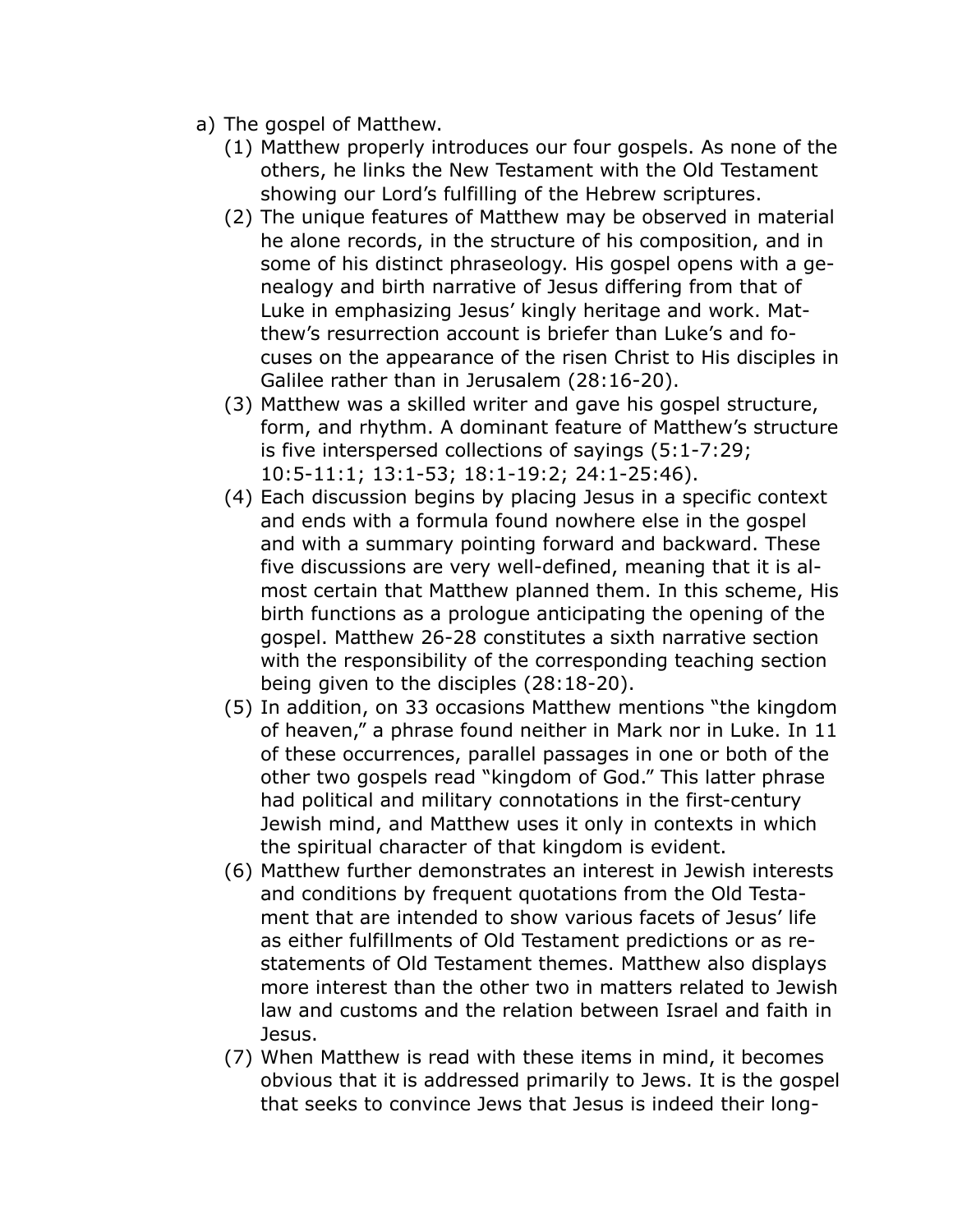- a) The gospel of Matthew.
	- (1) Matthew properly introduces our four gospels. As none of the others, he links the New Testament with the Old Testament showing our Lord's fulfilling of the Hebrew scriptures.
	- (2) The unique features of Matthew may be observed in material he alone records, in the structure of his composition, and in some of his distinct phraseology. His gospel opens with a genealogy and birth narrative of Jesus differing from that of Luke in emphasizing Jesus' kingly heritage and work. Matthew's resurrection account is briefer than Luke's and focuses on the appearance of the risen Christ to His disciples in Galilee rather than in Jerusalem (28:16-20).
	- (3) Matthew was a skilled writer and gave his gospel structure, form, and rhythm. A dominant feature of Matthew's structure is five interspersed collections of sayings (5:1-7:29; 10:5-11:1; 13:1-53; 18:1-19:2; 24:1-25:46).
	- (4) Each discussion begins by placing Jesus in a specific context and ends with a formula found nowhere else in the gospel and with a summary pointing forward and backward. These five discussions are very well-defined, meaning that it is almost certain that Matthew planned them. In this scheme, His birth functions as a prologue anticipating the opening of the gospel. Matthew 26-28 constitutes a sixth narrative section with the responsibility of the corresponding teaching section being given to the disciples (28:18-20).
	- (5) In addition, on 33 occasions Matthew mentions "the kingdom of heaven," a phrase found neither in Mark nor in Luke. In 11 of these occurrences, parallel passages in one or both of the other two gospels read "kingdom of God." This latter phrase had political and military connotations in the first-century Jewish mind, and Matthew uses it only in contexts in which the spiritual character of that kingdom is evident.
	- (6) Matthew further demonstrates an interest in Jewish interests and conditions by frequent quotations from the Old Testament that are intended to show various facets of Jesus' life as either fulfillments of Old Testament predictions or as restatements of Old Testament themes. Matthew also displays more interest than the other two in matters related to Jewish law and customs and the relation between Israel and faith in Jesus.
	- (7) When Matthew is read with these items in mind, it becomes obvious that it is addressed primarily to Jews. It is the gospel that seeks to convince Jews that Jesus is indeed their long-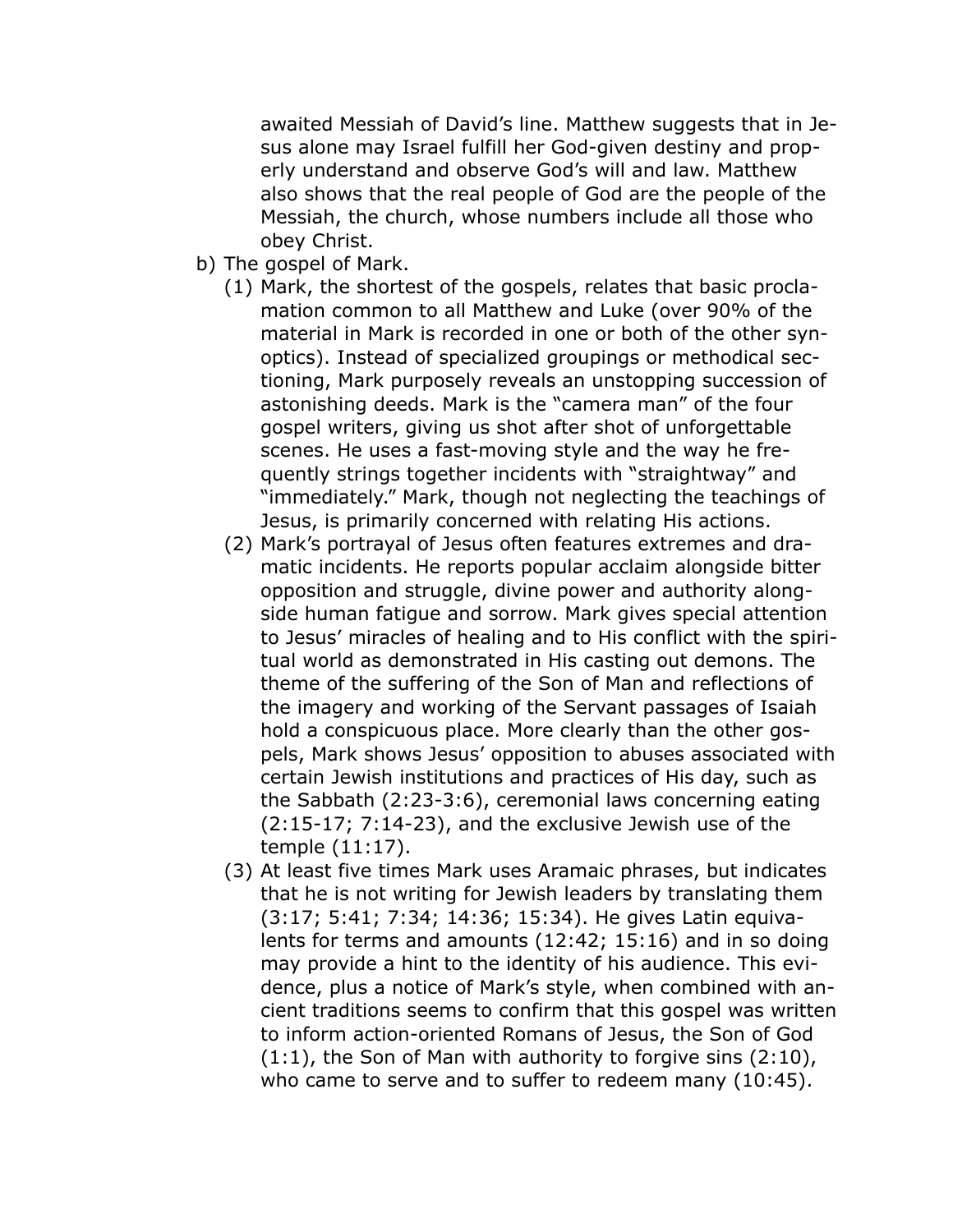awaited Messiah of David's line. Matthew suggests that in Jesus alone may Israel fulfill her God-given destiny and properly understand and observe God's will and law. Matthew also shows that the real people of God are the people of the Messiah, the church, whose numbers include all those who obey Christ.

- b) The gospel of Mark.
	- (1) Mark, the shortest of the gospels, relates that basic proclamation common to all Matthew and Luke (over 90% of the material in Mark is recorded in one or both of the other synoptics). Instead of specialized groupings or methodical sectioning, Mark purposely reveals an unstopping succession of astonishing deeds. Mark is the "camera man" of the four gospel writers, giving us shot after shot of unforgettable scenes. He uses a fast-moving style and the way he frequently strings together incidents with "straightway" and "immediately." Mark, though not neglecting the teachings of Jesus, is primarily concerned with relating His actions.
	- (2) Mark's portrayal of Jesus often features extremes and dramatic incidents. He reports popular acclaim alongside bitter opposition and struggle, divine power and authority alongside human fatigue and sorrow. Mark gives special attention to Jesus' miracles of healing and to His conflict with the spiritual world as demonstrated in His casting out demons. The theme of the suffering of the Son of Man and reflections of the imagery and working of the Servant passages of Isaiah hold a conspicuous place. More clearly than the other gospels, Mark shows Jesus' opposition to abuses associated with certain Jewish institutions and practices of His day, such as the Sabbath (2:23-3:6), ceremonial laws concerning eating (2:15-17; 7:14-23), and the exclusive Jewish use of the temple (11:17).
	- (3) At least five times Mark uses Aramaic phrases, but indicates that he is not writing for Jewish leaders by translating them (3:17; 5:41; 7:34; 14:36; 15:34). He gives Latin equivalents for terms and amounts (12:42; 15:16) and in so doing may provide a hint to the identity of his audience. This evidence, plus a notice of Mark's style, when combined with ancient traditions seems to confirm that this gospel was written to inform action-oriented Romans of Jesus, the Son of God  $(1:1)$ , the Son of Man with authority to forgive sins  $(2:10)$ , who came to serve and to suffer to redeem many (10:45).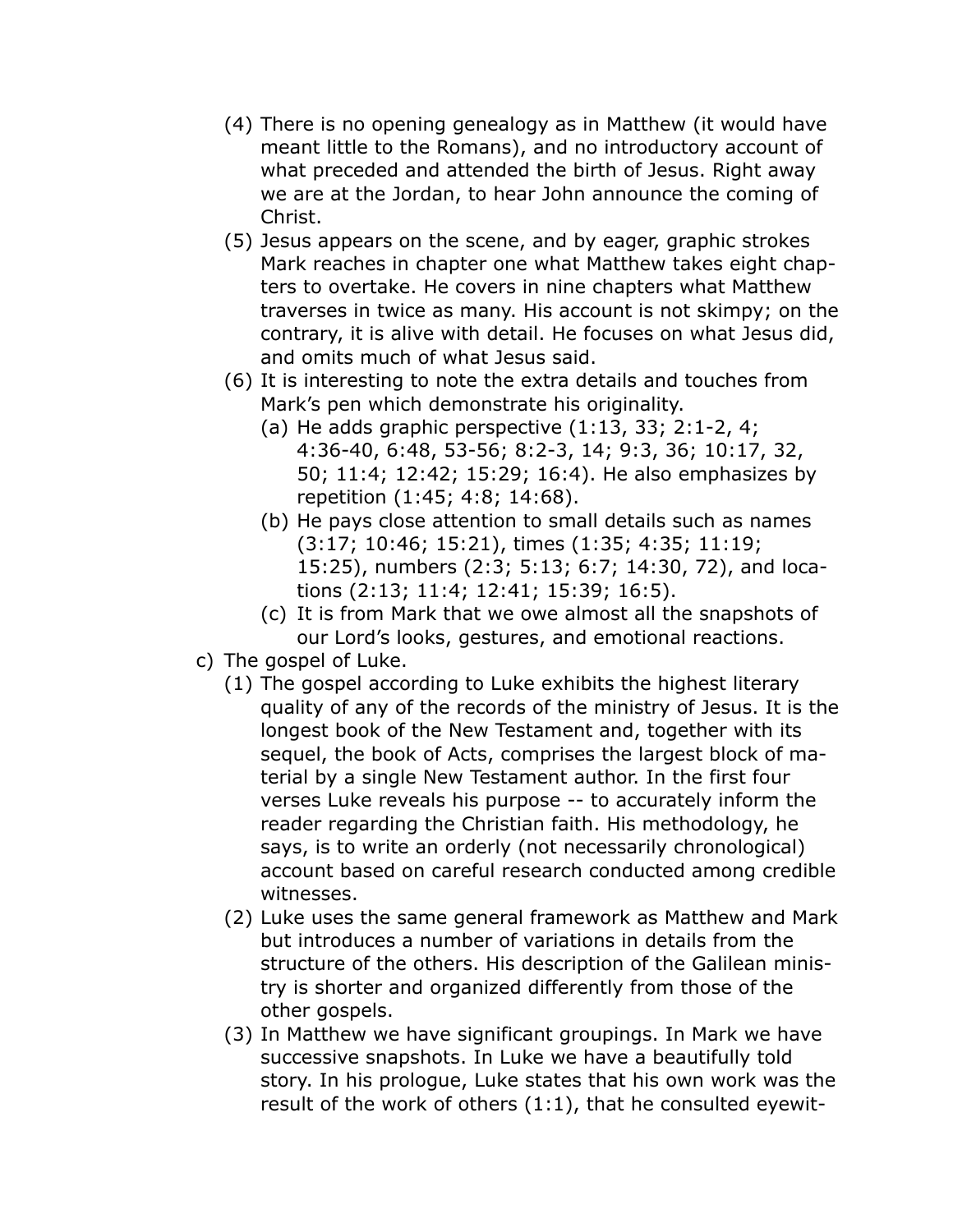- (4) There is no opening genealogy as in Matthew (it would have meant little to the Romans), and no introductory account of what preceded and attended the birth of Jesus. Right away we are at the Jordan, to hear John announce the coming of Christ.
- (5) Jesus appears on the scene, and by eager, graphic strokes Mark reaches in chapter one what Matthew takes eight chapters to overtake. He covers in nine chapters what Matthew traverses in twice as many. His account is not skimpy; on the contrary, it is alive with detail. He focuses on what Jesus did, and omits much of what Jesus said.
- (6) It is interesting to note the extra details and touches from Mark's pen which demonstrate his originality.
	- (a) He adds graphic perspective (1:13, 33; 2:1-2, 4; 4:36-40, 6:48, 53-56; 8:2-3, 14; 9:3, 36; 10:17, 32, 50; 11:4; 12:42; 15:29; 16:4). He also emphasizes by repetition (1:45; 4:8; 14:68).
	- (b) He pays close attention to small details such as names (3:17; 10:46; 15:21), times (1:35; 4:35; 11:19; 15:25), numbers (2:3; 5:13; 6:7; 14:30, 72), and locations (2:13; 11:4; 12:41; 15:39; 16:5).
	- (c) It is from Mark that we owe almost all the snapshots of our Lord's looks, gestures, and emotional reactions.
- c) The gospel of Luke.
	- (1) The gospel according to Luke exhibits the highest literary quality of any of the records of the ministry of Jesus. It is the longest book of the New Testament and, together with its sequel, the book of Acts, comprises the largest block of material by a single New Testament author. In the first four verses Luke reveals his purpose -- to accurately inform the reader regarding the Christian faith. His methodology, he says, is to write an orderly (not necessarily chronological) account based on careful research conducted among credible witnesses.
	- (2) Luke uses the same general framework as Matthew and Mark but introduces a number of variations in details from the structure of the others. His description of the Galilean ministry is shorter and organized differently from those of the other gospels.
	- (3) In Matthew we have significant groupings. In Mark we have successive snapshots. In Luke we have a beautifully told story. In his prologue, Luke states that his own work was the result of the work of others (1:1), that he consulted eyewit-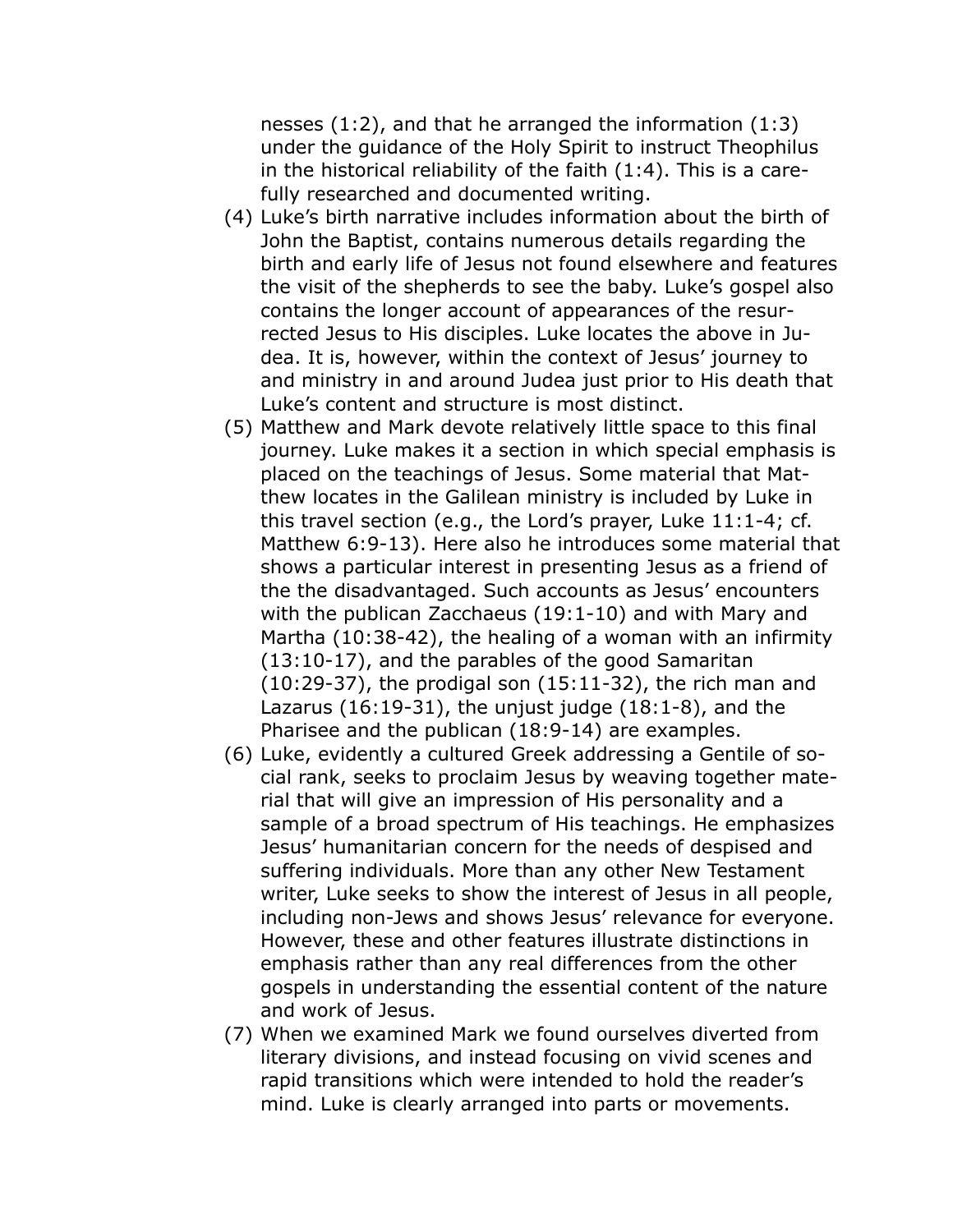nesses (1:2), and that he arranged the information (1:3) under the guidance of the Holy Spirit to instruct Theophilus in the historical reliability of the faith (1:4). This is a carefully researched and documented writing.

- (4) Luke's birth narrative includes information about the birth of John the Baptist, contains numerous details regarding the birth and early life of Jesus not found elsewhere and features the visit of the shepherds to see the baby. Luke's gospel also contains the longer account of appearances of the resurrected Jesus to His disciples. Luke locates the above in Judea. It is, however, within the context of Jesus' journey to and ministry in and around Judea just prior to His death that Luke's content and structure is most distinct.
- (5) Matthew and Mark devote relatively little space to this final journey. Luke makes it a section in which special emphasis is placed on the teachings of Jesus. Some material that Matthew locates in the Galilean ministry is included by Luke in this travel section (e.g., the Lord's prayer, Luke 11:1-4; cf. Matthew 6:9-13). Here also he introduces some material that shows a particular interest in presenting Jesus as a friend of the the disadvantaged. Such accounts as Jesus' encounters with the publican Zacchaeus (19:1-10) and with Mary and Martha (10:38-42), the healing of a woman with an infirmity (13:10-17), and the parables of the good Samaritan (10:29-37), the prodigal son (15:11-32), the rich man and Lazarus (16:19-31), the unjust judge (18:1-8), and the Pharisee and the publican (18:9-14) are examples.
- (6) Luke, evidently a cultured Greek addressing a Gentile of social rank, seeks to proclaim Jesus by weaving together material that will give an impression of His personality and a sample of a broad spectrum of His teachings. He emphasizes Jesus' humanitarian concern for the needs of despised and suffering individuals. More than any other New Testament writer, Luke seeks to show the interest of Jesus in all people, including non-Jews and shows Jesus' relevance for everyone. However, these and other features illustrate distinctions in emphasis rather than any real differences from the other gospels in understanding the essential content of the nature and work of Jesus.
- (7) When we examined Mark we found ourselves diverted from literary divisions, and instead focusing on vivid scenes and rapid transitions which were intended to hold the reader's mind. Luke is clearly arranged into parts or movements.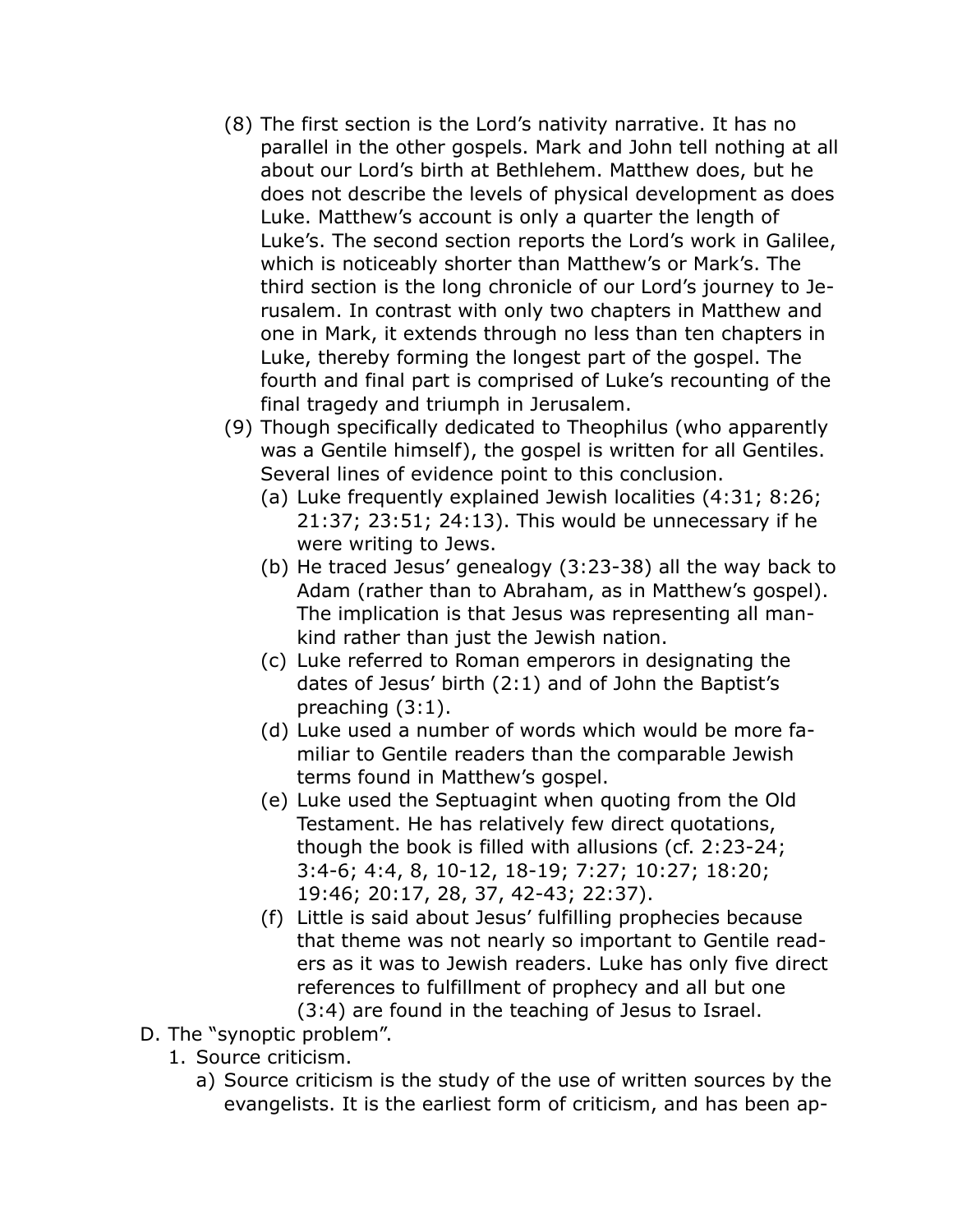- (8) The first section is the Lord's nativity narrative. It has no parallel in the other gospels. Mark and John tell nothing at all about our Lord's birth at Bethlehem. Matthew does, but he does not describe the levels of physical development as does Luke. Matthew's account is only a quarter the length of Luke's. The second section reports the Lord's work in Galilee, which is noticeably shorter than Matthew's or Mark's. The third section is the long chronicle of our Lord's journey to Jerusalem. In contrast with only two chapters in Matthew and one in Mark, it extends through no less than ten chapters in Luke, thereby forming the longest part of the gospel. The fourth and final part is comprised of Luke's recounting of the final tragedy and triumph in Jerusalem.
- (9) Though specifically dedicated to Theophilus (who apparently was a Gentile himself), the gospel is written for all Gentiles. Several lines of evidence point to this conclusion.
	- (a) Luke frequently explained Jewish localities (4:31; 8:26; 21:37; 23:51; 24:13). This would be unnecessary if he were writing to Jews.
	- (b) He traced Jesus' genealogy (3:23-38) all the way back to Adam (rather than to Abraham, as in Matthew's gospel). The implication is that Jesus was representing all mankind rather than just the Jewish nation.
	- (c) Luke referred to Roman emperors in designating the dates of Jesus' birth (2:1) and of John the Baptist's preaching (3:1).
	- (d) Luke used a number of words which would be more familiar to Gentile readers than the comparable Jewish terms found in Matthew's gospel.
	- (e) Luke used the Septuagint when quoting from the Old Testament. He has relatively few direct quotations, though the book is filled with allusions (cf. 2:23-24; 3:4-6; 4:4, 8, 10-12, 18-19; 7:27; 10:27; 18:20; 19:46; 20:17, 28, 37, 42-43; 22:37).
	- (f) Little is said about Jesus' fulfilling prophecies because that theme was not nearly so important to Gentile readers as it was to Jewish readers. Luke has only five direct references to fulfillment of prophecy and all but one (3:4) are found in the teaching of Jesus to Israel.
- D. The "synoptic problem".
	- 1. Source criticism.
		- a) Source criticism is the study of the use of written sources by the evangelists. It is the earliest form of criticism, and has been ap-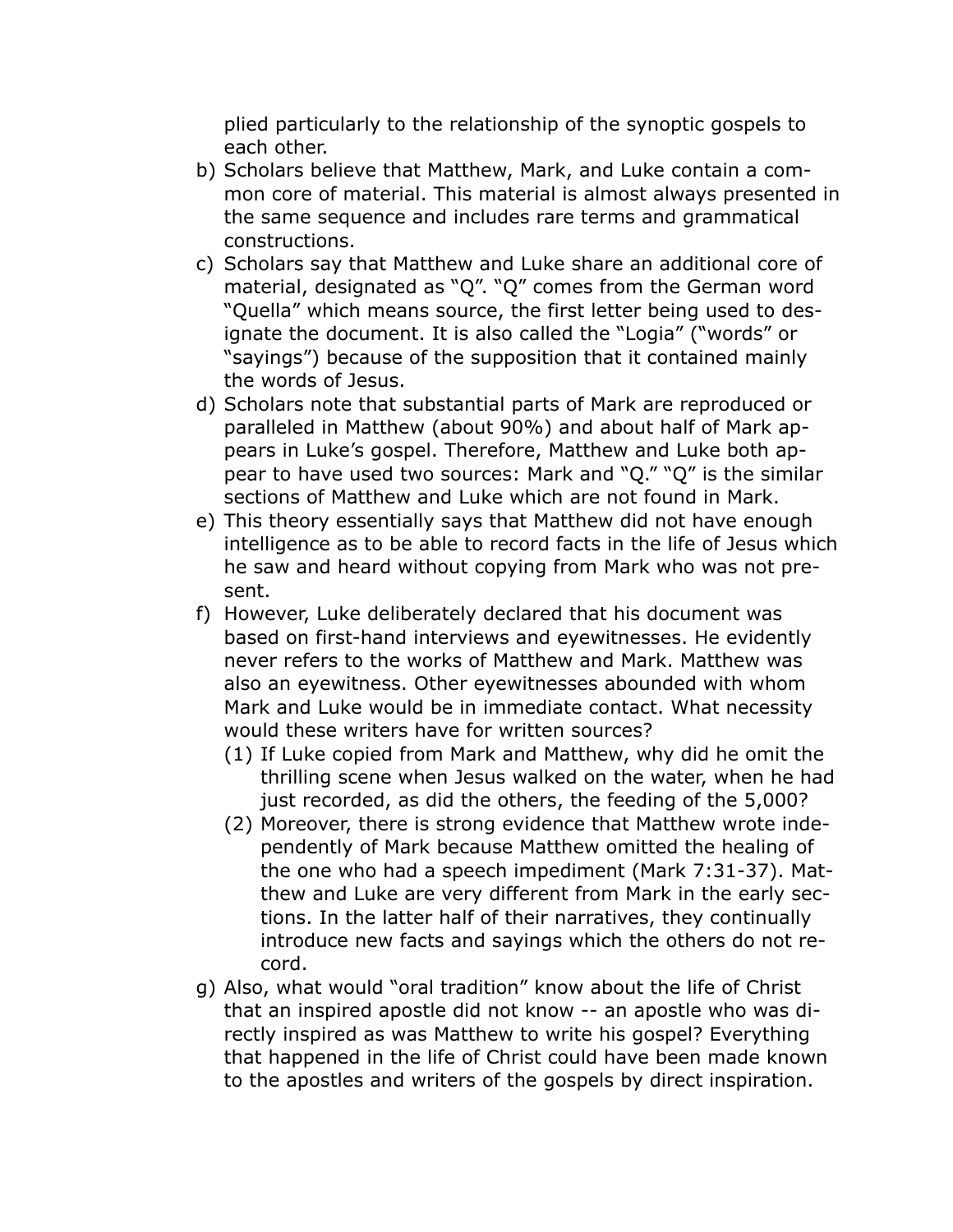plied particularly to the relationship of the synoptic gospels to each other.

- b) Scholars believe that Matthew, Mark, and Luke contain a common core of material. This material is almost always presented in the same sequence and includes rare terms and grammatical constructions.
- c) Scholars say that Matthew and Luke share an additional core of material, designated as "Q". "Q" comes from the German word "Quella" which means source, the first letter being used to designate the document. It is also called the "Logia" ("words" or "sayings") because of the supposition that it contained mainly the words of Jesus.
- d) Scholars note that substantial parts of Mark are reproduced or paralleled in Matthew (about 90%) and about half of Mark appears in Luke's gospel. Therefore, Matthew and Luke both appear to have used two sources: Mark and "Q." "Q" is the similar sections of Matthew and Luke which are not found in Mark.
- e) This theory essentially says that Matthew did not have enough intelligence as to be able to record facts in the life of Jesus which he saw and heard without copying from Mark who was not present.
- f) However, Luke deliberately declared that his document was based on first-hand interviews and eyewitnesses. He evidently never refers to the works of Matthew and Mark. Matthew was also an eyewitness. Other eyewitnesses abounded with whom Mark and Luke would be in immediate contact. What necessity would these writers have for written sources?
	- (1) If Luke copied from Mark and Matthew, why did he omit the thrilling scene when Jesus walked on the water, when he had just recorded, as did the others, the feeding of the 5,000?
	- (2) Moreover, there is strong evidence that Matthew wrote independently of Mark because Matthew omitted the healing of the one who had a speech impediment (Mark 7:31-37). Matthew and Luke are very different from Mark in the early sections. In the latter half of their narratives, they continually introduce new facts and sayings which the others do not record.
- g) Also, what would "oral tradition" know about the life of Christ that an inspired apostle did not know -- an apostle who was directly inspired as was Matthew to write his gospel? Everything that happened in the life of Christ could have been made known to the apostles and writers of the gospels by direct inspiration.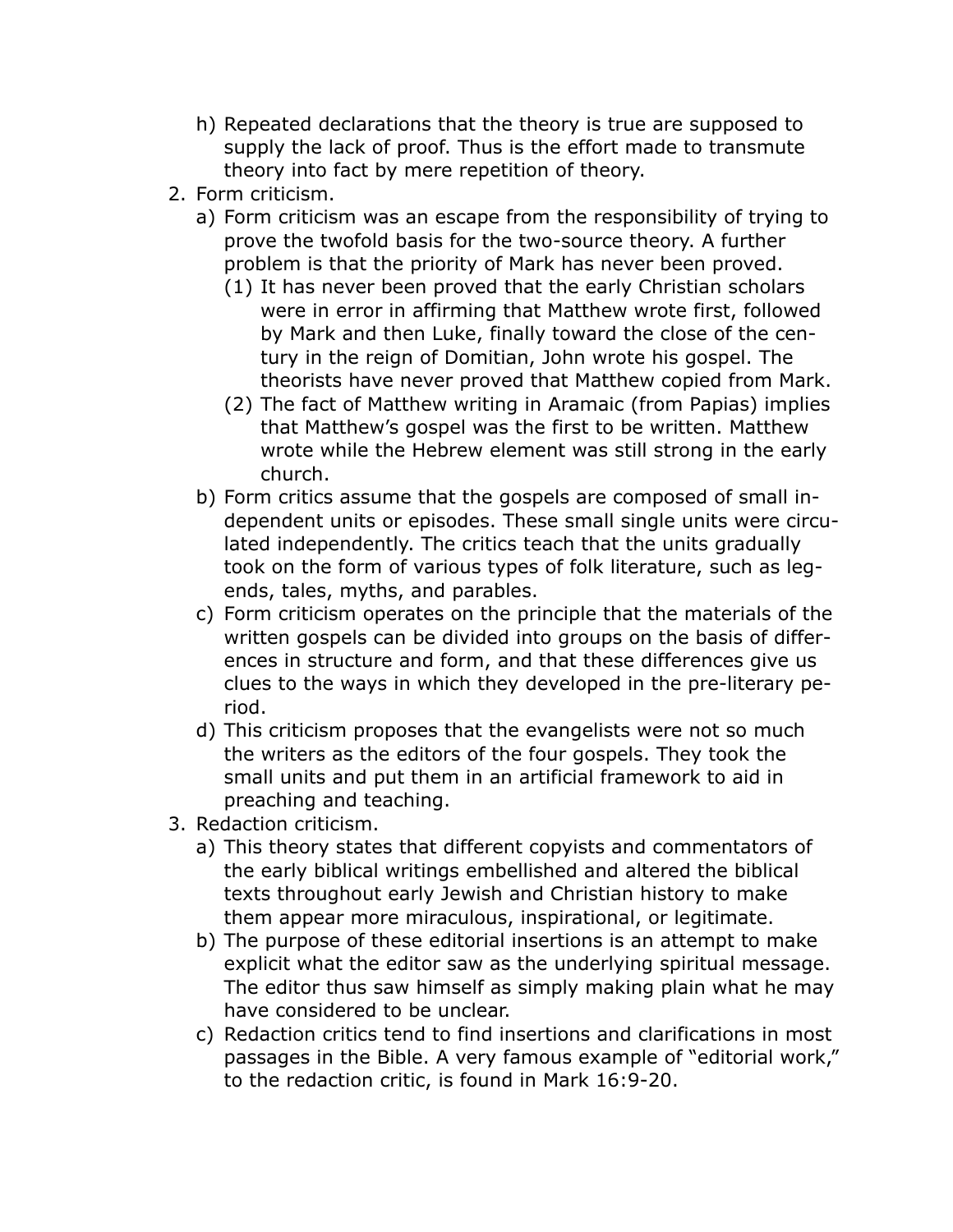- h) Repeated declarations that the theory is true are supposed to supply the lack of proof. Thus is the effort made to transmute theory into fact by mere repetition of theory.
- 2. Form criticism.
	- a) Form criticism was an escape from the responsibility of trying to prove the twofold basis for the two-source theory. A further problem is that the priority of Mark has never been proved.
		- (1) It has never been proved that the early Christian scholars were in error in affirming that Matthew wrote first, followed by Mark and then Luke, finally toward the close of the century in the reign of Domitian, John wrote his gospel. The theorists have never proved that Matthew copied from Mark.
		- (2) The fact of Matthew writing in Aramaic (from Papias) implies that Matthew's gospel was the first to be written. Matthew wrote while the Hebrew element was still strong in the early church.
	- b) Form critics assume that the gospels are composed of small independent units or episodes. These small single units were circulated independently. The critics teach that the units gradually took on the form of various types of folk literature, such as legends, tales, myths, and parables.
	- c) Form criticism operates on the principle that the materials of the written gospels can be divided into groups on the basis of differences in structure and form, and that these differences give us clues to the ways in which they developed in the pre-literary period.
	- d) This criticism proposes that the evangelists were not so much the writers as the editors of the four gospels. They took the small units and put them in an artificial framework to aid in preaching and teaching.
- 3. Redaction criticism.
	- a) This theory states that different copyists and commentators of the early biblical writings embellished and altered the biblical texts throughout early Jewish and Christian history to make them appear more miraculous, inspirational, or legitimate.
	- b) The purpose of these editorial insertions is an attempt to make explicit what the editor saw as the underlying spiritual message. The editor thus saw himself as simply making plain what he may have considered to be unclear.
	- c) Redaction critics tend to find insertions and clarifications in most passages in the Bible. A very famous example of "editorial work," to the redaction critic, is found in Mark 16:9-20.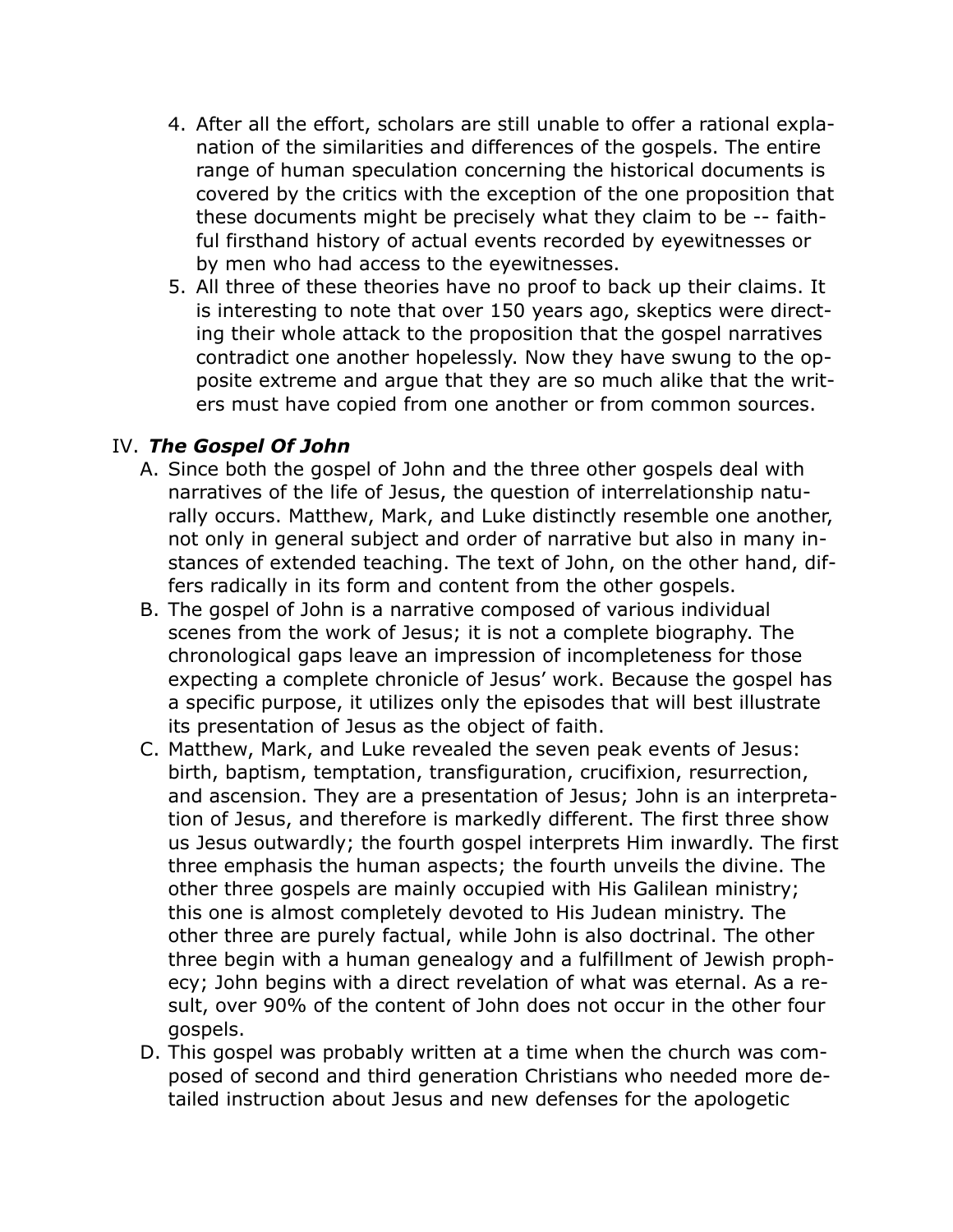- 4. After all the effort, scholars are still unable to offer a rational explanation of the similarities and differences of the gospels. The entire range of human speculation concerning the historical documents is covered by the critics with the exception of the one proposition that these documents might be precisely what they claim to be -- faithful firsthand history of actual events recorded by eyewitnesses or by men who had access to the eyewitnesses.
- 5. All three of these theories have no proof to back up their claims. It is interesting to note that over 150 years ago, skeptics were directing their whole attack to the proposition that the gospel narratives contradict one another hopelessly. Now they have swung to the opposite extreme and argue that they are so much alike that the writers must have copied from one another or from common sources.

#### IV. *The Gospel Of John*

- A. Since both the gospel of John and the three other gospels deal with narratives of the life of Jesus, the question of interrelationship naturally occurs. Matthew, Mark, and Luke distinctly resemble one another, not only in general subject and order of narrative but also in many instances of extended teaching. The text of John, on the other hand, differs radically in its form and content from the other gospels.
- B. The gospel of John is a narrative composed of various individual scenes from the work of Jesus; it is not a complete biography. The chronological gaps leave an impression of incompleteness for those expecting a complete chronicle of Jesus' work. Because the gospel has a specific purpose, it utilizes only the episodes that will best illustrate its presentation of Jesus as the object of faith.
- C. Matthew, Mark, and Luke revealed the seven peak events of Jesus: birth, baptism, temptation, transfiguration, crucifixion, resurrection, and ascension. They are a presentation of Jesus; John is an interpretation of Jesus, and therefore is markedly different. The first three show us Jesus outwardly; the fourth gospel interprets Him inwardly. The first three emphasis the human aspects; the fourth unveils the divine. The other three gospels are mainly occupied with His Galilean ministry; this one is almost completely devoted to His Judean ministry. The other three are purely factual, while John is also doctrinal. The other three begin with a human genealogy and a fulfillment of Jewish prophecy; John begins with a direct revelation of what was eternal. As a result, over 90% of the content of John does not occur in the other four gospels.
- D. This gospel was probably written at a time when the church was composed of second and third generation Christians who needed more detailed instruction about Jesus and new defenses for the apologetic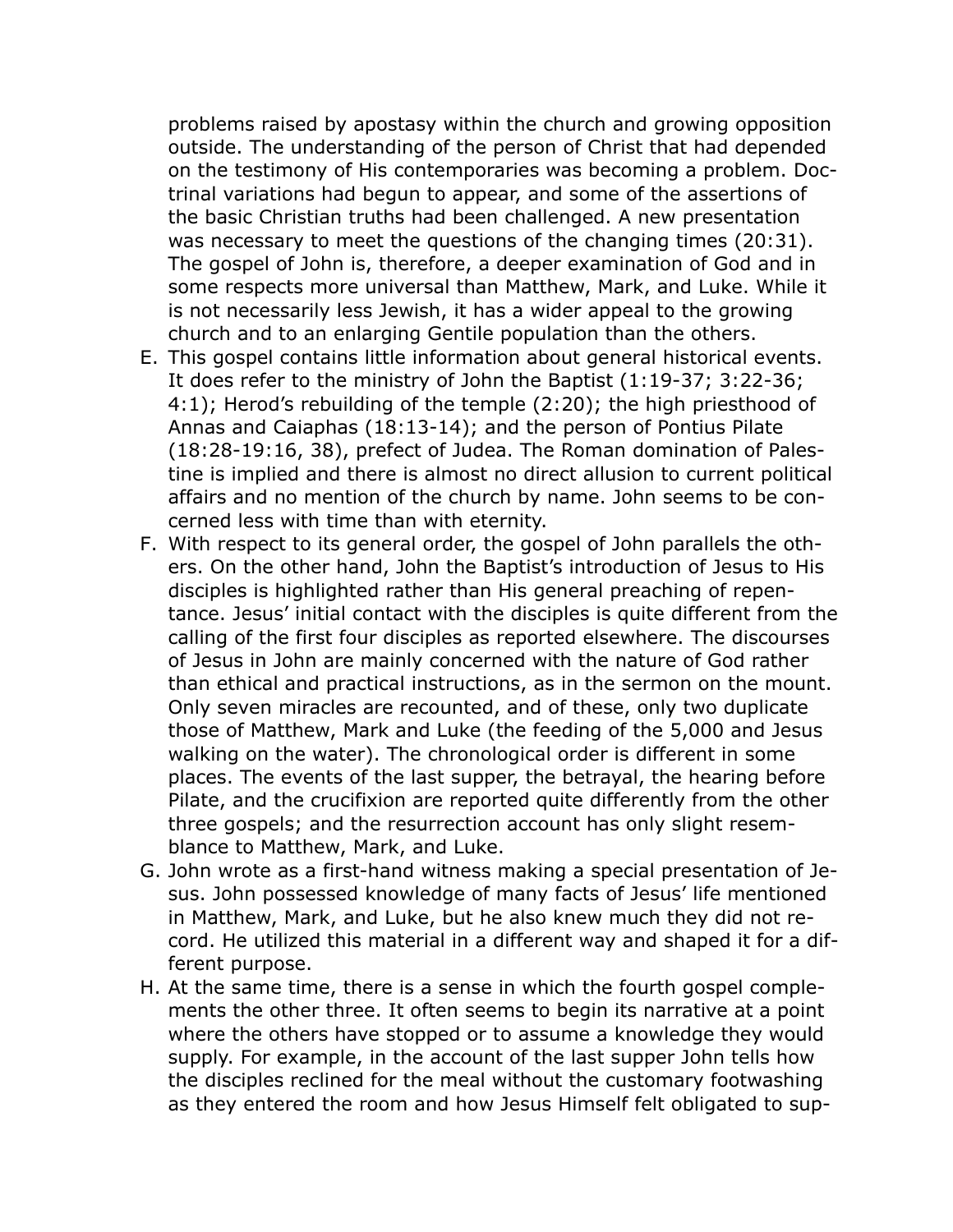problems raised by apostasy within the church and growing opposition outside. The understanding of the person of Christ that had depended on the testimony of His contemporaries was becoming a problem. Doctrinal variations had begun to appear, and some of the assertions of the basic Christian truths had been challenged. A new presentation was necessary to meet the questions of the changing times (20:31). The gospel of John is, therefore, a deeper examination of God and in some respects more universal than Matthew, Mark, and Luke. While it is not necessarily less Jewish, it has a wider appeal to the growing church and to an enlarging Gentile population than the others.

- E. This gospel contains little information about general historical events. It does refer to the ministry of John the Baptist (1:19-37; 3:22-36; 4:1); Herod's rebuilding of the temple (2:20); the high priesthood of Annas and Caiaphas (18:13-14); and the person of Pontius Pilate (18:28-19:16, 38), prefect of Judea. The Roman domination of Palestine is implied and there is almost no direct allusion to current political affairs and no mention of the church by name. John seems to be concerned less with time than with eternity.
- F. With respect to its general order, the gospel of John parallels the others. On the other hand, John the Baptist's introduction of Jesus to His disciples is highlighted rather than His general preaching of repentance. Jesus' initial contact with the disciples is quite different from the calling of the first four disciples as reported elsewhere. The discourses of Jesus in John are mainly concerned with the nature of God rather than ethical and practical instructions, as in the sermon on the mount. Only seven miracles are recounted, and of these, only two duplicate those of Matthew, Mark and Luke (the feeding of the 5,000 and Jesus walking on the water). The chronological order is different in some places. The events of the last supper, the betrayal, the hearing before Pilate, and the crucifixion are reported quite differently from the other three gospels; and the resurrection account has only slight resemblance to Matthew, Mark, and Luke.
- G. John wrote as a first-hand witness making a special presentation of Jesus. John possessed knowledge of many facts of Jesus' life mentioned in Matthew, Mark, and Luke, but he also knew much they did not record. He utilized this material in a different way and shaped it for a different purpose.
- H. At the same time, there is a sense in which the fourth gospel complements the other three. It often seems to begin its narrative at a point where the others have stopped or to assume a knowledge they would supply. For example, in the account of the last supper John tells how the disciples reclined for the meal without the customary footwashing as they entered the room and how Jesus Himself felt obligated to sup-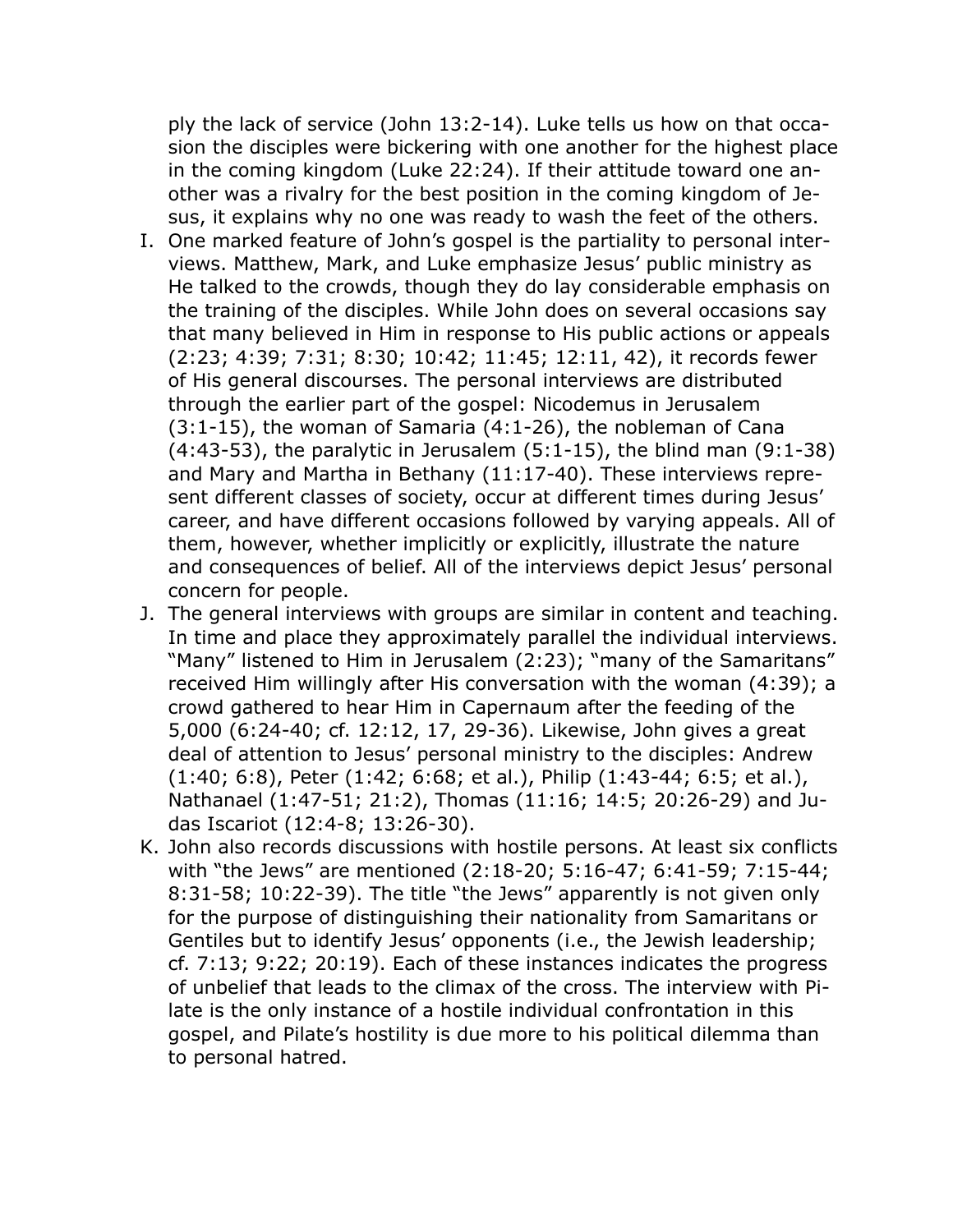ply the lack of service (John 13:2-14). Luke tells us how on that occasion the disciples were bickering with one another for the highest place in the coming kingdom (Luke 22:24). If their attitude toward one another was a rivalry for the best position in the coming kingdom of Jesus, it explains why no one was ready to wash the feet of the others.

- I. One marked feature of John's gospel is the partiality to personal interviews. Matthew, Mark, and Luke emphasize Jesus' public ministry as He talked to the crowds, though they do lay considerable emphasis on the training of the disciples. While John does on several occasions say that many believed in Him in response to His public actions or appeals (2:23; 4:39; 7:31; 8:30; 10:42; 11:45; 12:11, 42), it records fewer of His general discourses. The personal interviews are distributed through the earlier part of the gospel: Nicodemus in Jerusalem (3:1-15), the woman of Samaria (4:1-26), the nobleman of Cana  $(4:43-53)$ , the paralytic in Jerusalem  $(5:1-15)$ , the blind man  $(9:1-38)$ and Mary and Martha in Bethany (11:17-40). These interviews represent different classes of society, occur at different times during Jesus' career, and have different occasions followed by varying appeals. All of them, however, whether implicitly or explicitly, illustrate the nature and consequences of belief. All of the interviews depict Jesus' personal concern for people.
- J. The general interviews with groups are similar in content and teaching. In time and place they approximately parallel the individual interviews. "Many" listened to Him in Jerusalem (2:23); "many of the Samaritans" received Him willingly after His conversation with the woman (4:39); a crowd gathered to hear Him in Capernaum after the feeding of the 5,000 (6:24-40; cf. 12:12, 17, 29-36). Likewise, John gives a great deal of attention to Jesus' personal ministry to the disciples: Andrew (1:40; 6:8), Peter (1:42; 6:68; et al.), Philip (1:43-44; 6:5; et al.), Nathanael (1:47-51; 21:2), Thomas (11:16; 14:5; 20:26-29) and Judas Iscariot (12:4-8; 13:26-30).
- K. John also records discussions with hostile persons. At least six conflicts with "the Jews" are mentioned (2:18-20; 5:16-47; 6:41-59; 7:15-44; 8:31-58; 10:22-39). The title "the Jews" apparently is not given only for the purpose of distinguishing their nationality from Samaritans or Gentiles but to identify Jesus' opponents (i.e., the Jewish leadership; cf. 7:13; 9:22; 20:19). Each of these instances indicates the progress of unbelief that leads to the climax of the cross. The interview with Pilate is the only instance of a hostile individual confrontation in this gospel, and Pilate's hostility is due more to his political dilemma than to personal hatred.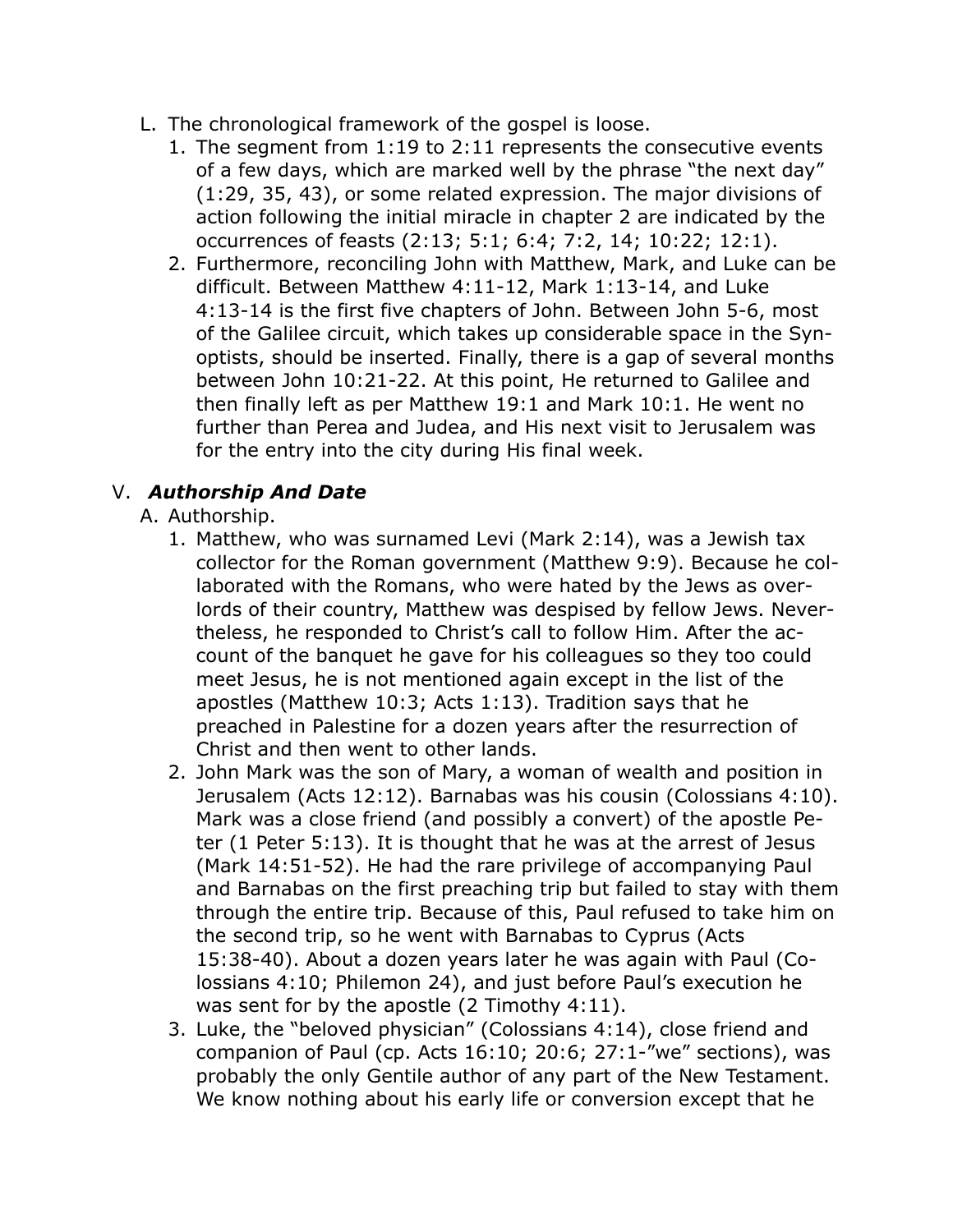- L. The chronological framework of the gospel is loose.
	- 1. The segment from 1:19 to 2:11 represents the consecutive events of a few days, which are marked well by the phrase "the next day" (1:29, 35, 43), or some related expression. The major divisions of action following the initial miracle in chapter 2 are indicated by the occurrences of feasts (2:13; 5:1; 6:4; 7:2, 14; 10:22; 12:1).
	- 2. Furthermore, reconciling John with Matthew, Mark, and Luke can be difficult. Between Matthew 4:11-12, Mark 1:13-14, and Luke 4:13-14 is the first five chapters of John. Between John 5-6, most of the Galilee circuit, which takes up considerable space in the Synoptists, should be inserted. Finally, there is a gap of several months between John 10:21-22. At this point, He returned to Galilee and then finally left as per Matthew 19:1 and Mark 10:1. He went no further than Perea and Judea, and His next visit to Jerusalem was for the entry into the city during His final week.

#### V. *Authorship And Date*

- A. Authorship.
	- 1. Matthew, who was surnamed Levi (Mark 2:14), was a Jewish tax collector for the Roman government (Matthew 9:9). Because he collaborated with the Romans, who were hated by the Jews as overlords of their country, Matthew was despised by fellow Jews. Nevertheless, he responded to Christ's call to follow Him. After the account of the banquet he gave for his colleagues so they too could meet Jesus, he is not mentioned again except in the list of the apostles (Matthew 10:3; Acts 1:13). Tradition says that he preached in Palestine for a dozen years after the resurrection of Christ and then went to other lands.
	- 2. John Mark was the son of Mary, a woman of wealth and position in Jerusalem (Acts 12:12). Barnabas was his cousin (Colossians 4:10). Mark was a close friend (and possibly a convert) of the apostle Peter (1 Peter 5:13). It is thought that he was at the arrest of Jesus (Mark 14:51-52). He had the rare privilege of accompanying Paul and Barnabas on the first preaching trip but failed to stay with them through the entire trip. Because of this, Paul refused to take him on the second trip, so he went with Barnabas to Cyprus (Acts 15:38-40). About a dozen years later he was again with Paul (Colossians 4:10; Philemon 24), and just before Paul's execution he was sent for by the apostle (2 Timothy 4:11).
	- 3. Luke, the "beloved physician" (Colossians 4:14), close friend and companion of Paul (cp. Acts 16:10; 20:6; 27:1-"we" sections), was probably the only Gentile author of any part of the New Testament. We know nothing about his early life or conversion except that he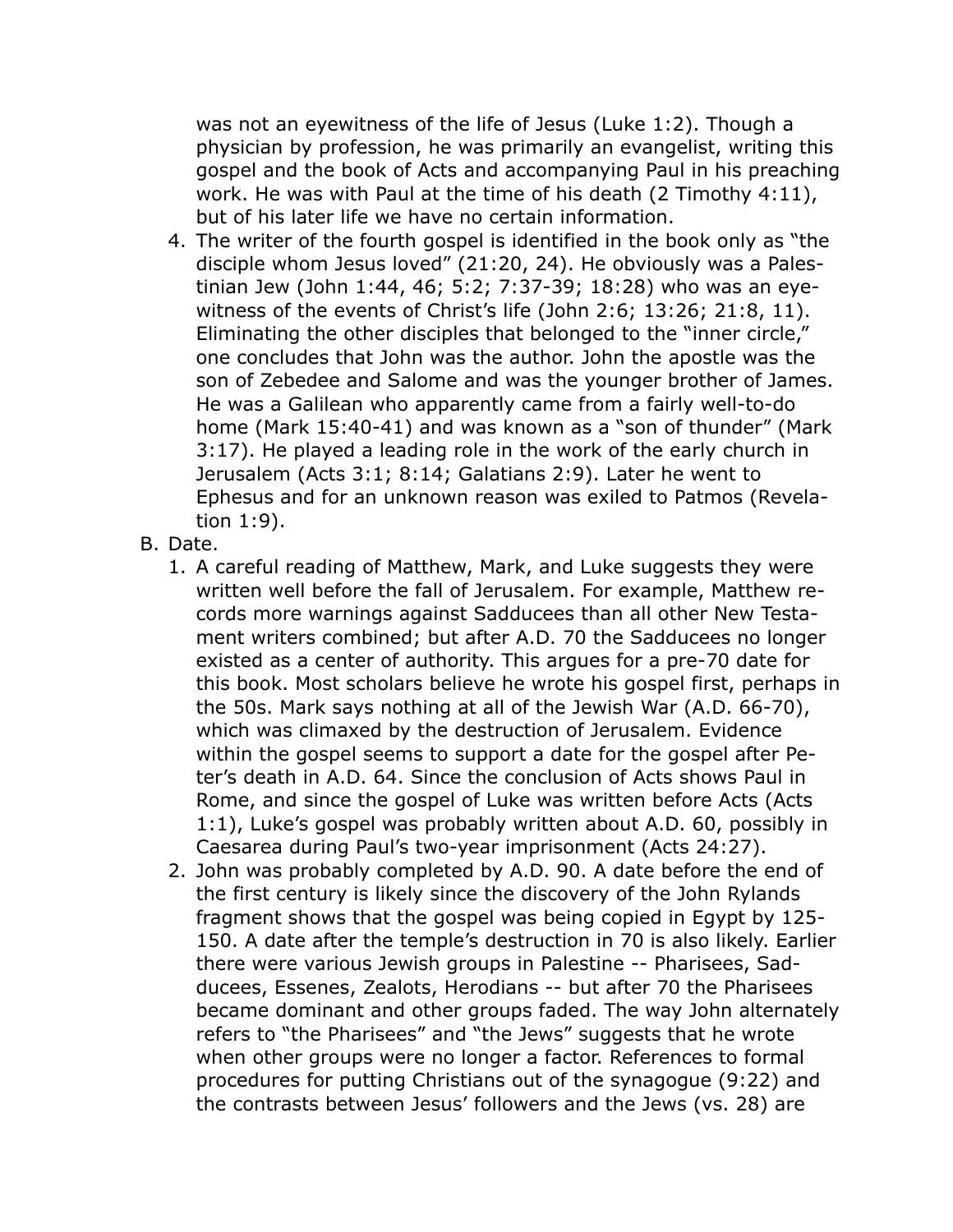was not an eyewitness of the life of Jesus (Luke 1:2). Though a physician by profession, he was primarily an evangelist, writing this gospel and the book of Acts and accompanying Paul in his preaching work. He was with Paul at the time of his death (2 Timothy 4:11), but of his later life we have no certain information.

- 4. The writer of the fourth gospel is identified in the book only as "the disciple whom Jesus loved" (21:20, 24). He obviously was a Palestinian Jew (John 1:44, 46; 5:2; 7:37-39; 18:28) who was an eyewitness of the events of Christ's life (John 2:6; 13:26; 21:8, 11). Eliminating the other disciples that belonged to the "inner circle," one concludes that John was the author. John the apostle was the son of Zebedee and Salome and was the younger brother of James. He was a Galilean who apparently came from a fairly well-to-do home (Mark 15:40-41) and was known as a "son of thunder" (Mark 3:17). He played a leading role in the work of the early church in Jerusalem (Acts 3:1; 8:14; Galatians 2:9). Later he went to Ephesus and for an unknown reason was exiled to Patmos (Revelation 1:9).
- B. Date.
	- 1. A careful reading of Matthew, Mark, and Luke suggests they were written well before the fall of Jerusalem. For example, Matthew records more warnings against Sadducees than all other New Testament writers combined; but after A.D. 70 the Sadducees no longer existed as a center of authority. This argues for a pre-70 date for this book. Most scholars believe he wrote his gospel first, perhaps in the 50s. Mark says nothing at all of the Jewish War (A.D. 66-70), which was climaxed by the destruction of Jerusalem. Evidence within the gospel seems to support a date for the gospel after Peter's death in A.D. 64. Since the conclusion of Acts shows Paul in Rome, and since the gospel of Luke was written before Acts (Acts 1:1), Luke's gospel was probably written about A.D. 60, possibly in Caesarea during Paul's two-year imprisonment (Acts 24:27).
	- 2. John was probably completed by A.D. 90. A date before the end of the first century is likely since the discovery of the John Rylands fragment shows that the gospel was being copied in Egypt by 125- 150. A date after the temple's destruction in 70 is also likely. Earlier there were various Jewish groups in Palestine -- Pharisees, Sadducees, Essenes, Zealots, Herodians -- but after 70 the Pharisees became dominant and other groups faded. The way John alternately refers to "the Pharisees" and "the Jews" suggests that he wrote when other groups were no longer a factor. References to formal procedures for putting Christians out of the synagogue (9:22) and the contrasts between Jesus' followers and the Jews (vs. 28) are